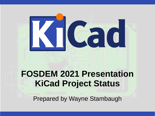

# **FOSDEM 2021 Presentation KiCad Project Status**

Prepared by Wayne Stambaugh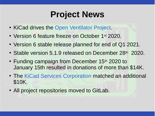# **Project News**

- KiCad drives the [Open Ventilator Project](https://openventilator.gitlab.io/).
- Version 6 feature freeze on October 1<sup>st</sup> 2020.
- Version 6 stable release planned for end of Q1 2021.
- Stable version 5.1.9 released on December 28th 2020.
- Funding campaign from December 15th 2020 to January 15th resulted in donations of more than \$14K.
- The [KiCad Services Corporation](https://www.kipro-pcb.com/) matched an additional \$10K.
- All project repositories moved to GitLab.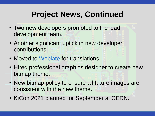## **Project News, Continued**

- Two new developers promoted to the lead development team.
- Another significant uptick in new developer contributions.
- Moved to [Weblate](https://weblate.org/en/) for translations.
- Hired professional graphics designer to create new bitmap theme.
- New bitmap policy to ensure all future images are consistent with the new theme.
- KiCon 2021 planned for September at CERN.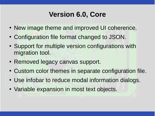#### **Version 6.0, Core**

- New image theme and improved UI coherence.
- Configuration file format changed to JSON.
- Support for multiple version configurations with migration tool.
- Removed legacy canvas support.
- Custom color themes in separate configuration file.
- Use infobar to reduce modal information dialogs.
- Variable expansion in most text objects.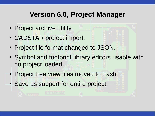#### **Version 6.0, Project Manager**

- Project archive utility.
- CADSTAR project import.
- Project file format changed to JSON.
- Symbol and footprint library editors usable with no project loaded.
- Project tree view files moved to trash.
- Save as support for entire project.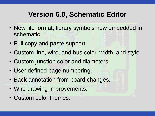#### **Version 6.0, Schematic Editor**

- New file format, library symbols now embedded in schematic.
- Full copy and paste support.
- Custom line, wire, and bus color, width, and style.
- Custom junction color and diameters.
- User defined page numbering.
- Back annotation from board changes.
- Wire drawing improvements.
- Custom color themes.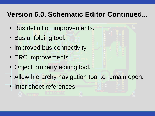#### **Version 6.0, Schematic Editor Continued...**

- Bus definition improvements.
- Bus unfolding tool.
- Improved bus connectivity.
- ERC improvements.
- Object property editing tool.
- Allow hierarchy navigation tool to remain open.
- Inter sheet references.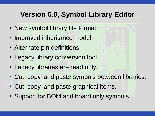#### **Version 6.0, Symbol Library Editor**

- New symbol library file format.
- Improved inheritance model.
- Alternate pin definitions.
- Legacy library conversion tool.
- Legacy libraries are read only.
- Cut, copy, and paste symbols between libraries.
- Cut, copy, and paste graphical items.
- Support for BOM and board only symbols.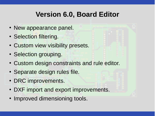#### **Version 6.0, Board Editor**

- New appearance panel.
- Selection filtering.
- Custom view visibility presets.
- Selection grouping.
- Custom design constraints and rule editor.
- Separate design rules file.
- DRC improvements.
- DXF import and export improvements.
- Improved dimensioning tools.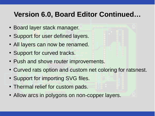#### **Version 6.0, Board Editor Continued…**

- Board layer stack manager.
- Support for user defined layers.
- All layers can now be renamed.
- Support for curved tracks.
- Push and shove router improvements.
- Curved rats option and custom net coloring for ratsnest.
- Support for importing SVG files.
- Thermal relief for custom pads.
- Allow arcs in polygons on non-copper layers.

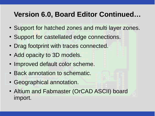#### **Version 6.0, Board Editor Continued…**

- Support for hatched zones and multi layer zones.
- Support for castellated edge connections.
- Drag footprint with traces connected.
- Add opacity to 3D models.
- Improved default color scheme.
- Back annotation to schematic.
- Geographical annotation.
- Altium and Fabmaster (OrCAD ASCII) board import.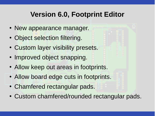#### **Version 6.0, Footprint Editor**

- New appearance manager.
- Object selection filtering.
- Custom layer visibility presets.
- Improved object snapping.
- Allow keep out areas in footprints.
- Allow board edge cuts in footprints.
- Chamfered rectangular pads.
- Custom chamfered/rounded rectangular pads.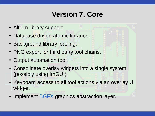### **Version 7, Core**

- Altium library support.
- Database driven atomic libraries.
- Background library loading.
- PNG export for third party tool chains.
- Output automation tool.
- Consolidate overlay widgets into a single system (possibly using ImGUI).
- Keyboard access to all tool actions via an overlay UI widget.
- Implement [BGFX](https://github.com/bkaradzic/bgfx) graphics abstraction layer.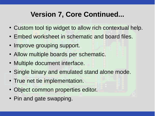#### **Version 7, Core Continued...**

- Custom tool tip widget to allow rich contextual help.
- Embed worksheet in schematic and board files.
- Improve grouping support.
- Allow multiple boards per schematic.
- Multiple document interface.
- Single binary and emulated stand alone mode.
- True net tie implementation.
- Object common properties editor.
- Pin and gate swapping.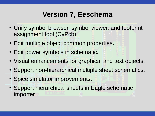#### **Version 7, Eeschema**

- Unify symbol browser, symbol viewer, and footprint assignment tool (CvPcb).
- Edit multiple object common properties.
- Edit power symbols in schematic.
- Visual enhancements for graphical and text objects.
- Support non-hierarchical multiple sheet schematics.
- Spice simulator improvements.
- Support hierarchical sheets in Eagle schematic importer.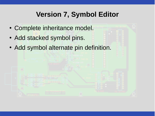### **Version 7, Symbol Editor**

- Complete inheritance model.
- Add stacked symbol pins.
- Add symbol alternate pin definition.

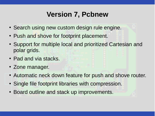#### **Version 7, Pcbnew**

- Search using new custom design rule engine.
- Push and shove for footprint placement.
- Support for multiple local and prioritized Cartesian and polar grids.
- Pad and via stacks.
- Zone manager.
- Automatic neck down feature for push and shove router.
- Single file footprint libraries with compression.
- Board outline and stack up improvements.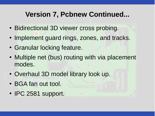#### **Version 7, Pcbnew Continued...**

- Bidirectional 3D viewer cross probing.
- Implement guard rings, zones, and tracks.
- Granular locking feature.
- Multiple net (bus) routing with via placement modes.
- Overhaul 3D model library look up.
- BGA fan out tool.
- IPC 2581 support.